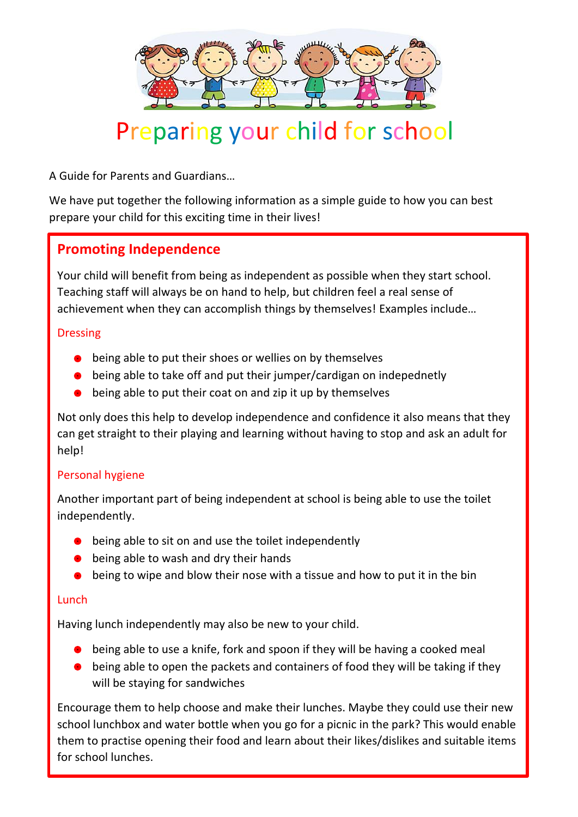

# Preparing your child for school

A Guide for Parents and Guardians…

We have put together the following information as a simple guide to how you can best prepare your child for this exciting time in their lives!

# **Promoting Independence**

Your child will benefit from being as independent as possible when they start school. Teaching staff will always be on hand to help, but children feel a real sense of achievement when they can accomplish things by themselves! Examples include…

#### Dressing

- **•** being able to put their shoes or wellies on by themselves
- being able to take off and put their jumper/cardigan on indepednetly
- being able to put their coat on and zip it up by themselves

Not only does this help to develop independence and confidence it also means that they can get straight to their playing and learning without having to stop and ask an adult for help!

#### Personal hygiene

Another important part of being independent at school is being able to use the toilet independently.

- being able to sit on and use the toilet independently
- being able to wash and dry their hands
- being to wipe and blow their nose with a tissue and how to put it in the bin

#### Lunch

Having lunch independently may also be new to your child. into the correct sequence and retell the story in their own way. You can model important concept

- $\bullet$  being able to use a knife, fork and spoon if they will be having a cooked meal
- $\bullet$  being able to open the packets and containers of food they will be taking if they will be staying for sandwiches will be able to write sentences when they stay in the start school. A good was found as respectivelying such a such as reduced as  $\frac{1}{\sqrt{2}}$  which is a word begins with sound a word begins with  $\frac{1}{\sqrt{2}}$

Encourage them to help choose and make their lunches. Maybe they could use their new school lunchbox and water bottle when you go for a picnic in the park? This would enable them to practise opening their food and learn about their likes/dislikes and suitable items for school lunches.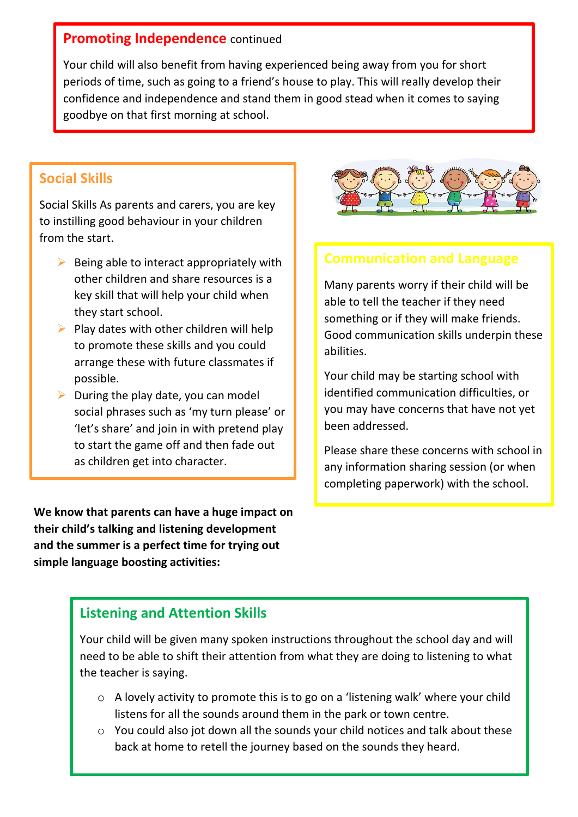## **Promoting Independence** continued

Your child will also benefit from having experienced being away from you for short periods of time, such as going to a friend's house to play. This will really develop their confidence and independence and stand them in good stead when it comes to saying goodbye on that first morning at school.

#### **Social Skills**

Social Skills As parents and carers, you are key to instilling good behaviour in your children from the start.

- $\triangleright$  Being able to interact appropriately with other children and share resources is a key skill that will help your child when they start school.
- $\triangleright$  Play dates with other children will help to promote these skills and you could arrange these with future classmates if possible.
- $\triangleright$  During the play date, you can model social phrases such as 'my turn please' or 'let's share' and join in with pretend play to start the game off and then fade out as children get into character.

**We know that parents can have a huge impact on their child's talking and listening development and the summer is a perfect time for trying out simple language boosting activities:**



## **Communication and Language**

Many parents worry if their child will be able to tell the teacher if they need something or if they will make friends. Good communication skills underpin these abilities.

Your child may be starting school with identified communication difficulties, or you may have concerns that have not yet been addressed.

Please share these concerns with school in any information sharing session (or when completing paperwork) with the school.

## **Listening and Attention Skills**

Your child will be given many spoken instructions throughout the school day and will need to be able to shift their attention from what they are doing to listening to what the teacher is saying.

- o A lovely activity to promote this is to go on a 'listening walk' where your child listens for all the sounds around them in the park or town centre.
- o You could also jot down all the sounds your child notices and talk about these back at home to retell the journey based on the sounds they heard.